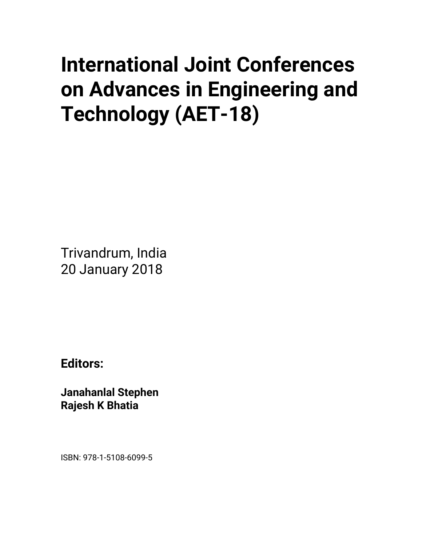## **International Joint Conferences on Advances in Engineering and Technology (AET-18)**

Trivandrum, India 20 January 2018

**Editors:** 

**Janahanlal Stephen Rajesh K Bhatia** 

ISBN: 978-1-5108-6099-5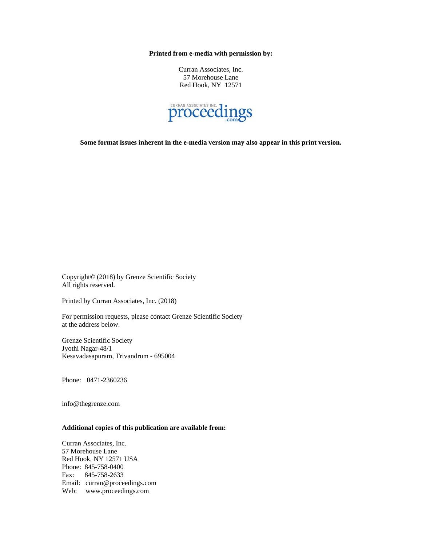**Printed from e-media with permission by:** 

Curran Associates, Inc. 57 Morehouse Lane Red Hook, NY 12571



**Some format issues inherent in the e-media version may also appear in this print version.** 

Copyright© (2018) by Grenze Scientific Society All rights reserved.

Printed by Curran Associates, Inc. (2018)

For permission requests, please contact Grenze Scientific Society at the address below.

Grenze Scientific Society Jyothi Nagar-48/1 Kesavadasapuram, Trivandrum - 695004

Phone: 0471-2360236

info@thegrenze.com

## **Additional copies of this publication are available from:**

Curran Associates, Inc. 57 Morehouse Lane Red Hook, NY 12571 USA Phone: 845-758-0400 Fax: 845-758-2633 Email: curran@proceedings.com Web: www.proceedings.com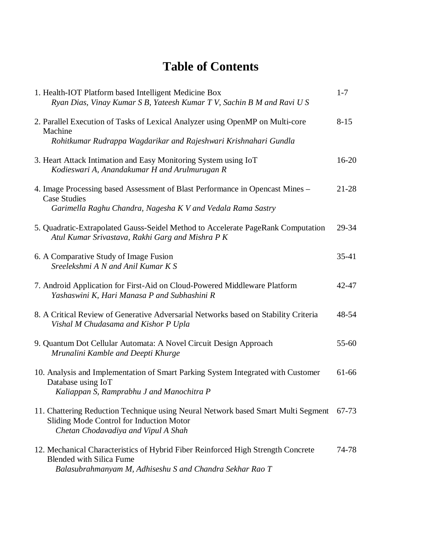## **Table of Contents**

| 1. Health-IOT Platform based Intelligent Medicine Box<br>Ryan Dias, Vinay Kumar S B, Yateesh Kumar T V, Sachin B M and Ravi U S                                                 | $1 - 7$   |
|---------------------------------------------------------------------------------------------------------------------------------------------------------------------------------|-----------|
| 2. Parallel Execution of Tasks of Lexical Analyzer using OpenMP on Multi-core<br>Machine                                                                                        | $8 - 15$  |
| Rohitkumar Rudrappa Wagdarikar and Rajeshwari Krishnahari Gundla                                                                                                                |           |
| 3. Heart Attack Intimation and Easy Monitoring System using IoT<br>Kodieswari A, Anandakumar H and Arulmurugan R                                                                | $16 - 20$ |
| 4. Image Processing based Assessment of Blast Performance in Opencast Mines -<br><b>Case Studies</b>                                                                            | $21 - 28$ |
| Garimella Raghu Chandra, Nagesha K V and Vedala Rama Sastry                                                                                                                     |           |
| 5. Quadratic-Extrapolated Gauss-Seidel Method to Accelerate PageRank Computation<br>Atul Kumar Srivastava, Rakhi Garg and Mishra P K                                            | 29-34     |
| 6. A Comparative Study of Image Fusion<br>Sreelekshmi A N and Anil Kumar K S                                                                                                    | $35 - 41$ |
| 7. Android Application for First-Aid on Cloud-Powered Middleware Platform<br>Yashaswini K, Hari Manasa P and Subhashini R                                                       | 42-47     |
| 8. A Critical Review of Generative Adversarial Networks based on Stability Criteria<br>Vishal M Chudasama and Kishor P Upla                                                     | 48-54     |
| 9. Quantum Dot Cellular Automata: A Novel Circuit Design Approach<br>Mrunalini Kamble and Deepti Khurge                                                                         | 55-60     |
| 10. Analysis and Implementation of Smart Parking System Integrated with Customer<br>Database using IoT<br>Kaliappan S, Ramprabhu J and Manochitra P                             | 61-66     |
| 11. Chattering Reduction Technique using Neural Network based Smart Multi Segment<br>Sliding Mode Control for Induction Motor<br>Chetan Chodavadiya and Vipul A Shah            | 67-73     |
| 12. Mechanical Characteristics of Hybrid Fiber Reinforced High Strength Concrete<br><b>Blended with Silica Fume</b><br>Balasubrahmanyam M, Adhiseshu S and Chandra Sekhar Rao T | 74-78     |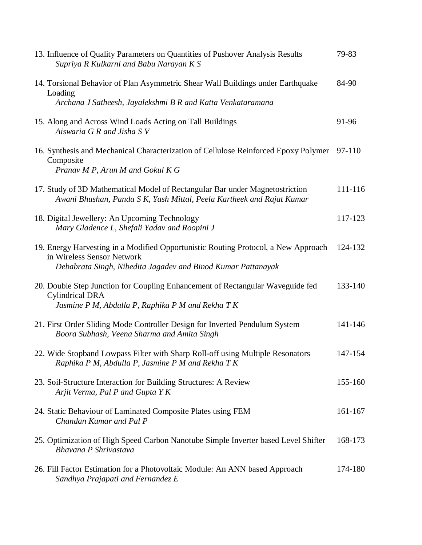| 13. Influence of Quality Parameters on Quantities of Pushover Analysis Results<br>Supriya R Kulkarni and Babu Narayan K S                                     | 79-83   |
|---------------------------------------------------------------------------------------------------------------------------------------------------------------|---------|
| 14. Torsional Behavior of Plan Asymmetric Shear Wall Buildings under Earthquake<br>Loading<br>Archana J Satheesh, Jayalekshmi B R and Katta Venkataramana     | 84-90   |
|                                                                                                                                                               |         |
| 15. Along and Across Wind Loads Acting on Tall Buildings<br>Aiswaria G R and Jisha S V                                                                        | 91-96   |
| 16. Synthesis and Mechanical Characterization of Cellulose Reinforced Epoxy Polymer<br>Composite<br>Pranav M P, Arun M and Gokul K G                          | 97-110  |
| 17. Study of 3D Mathematical Model of Rectangular Bar under Magnetostriction<br>Awani Bhushan, Panda S K, Yash Mittal, Peela Kartheek and Rajat Kumar         | 111-116 |
| 18. Digital Jewellery: An Upcoming Technology<br>Mary Gladence L, Shefali Yadav and Roopini J                                                                 | 117-123 |
| 19. Energy Harvesting in a Modified Opportunistic Routing Protocol, a New Approach                                                                            | 124-132 |
| in Wireless Sensor Network<br>Debabrata Singh, Nibedita Jagadev and Binod Kumar Pattanayak                                                                    |         |
| 20. Double Step Junction for Coupling Enhancement of Rectangular Waveguide fed<br><b>Cylindrical DRA</b><br>Jasmine P M, Abdulla P, Raphika P M and Rekha T K | 133-140 |
| 21. First Order Sliding Mode Controller Design for Inverted Pendulum System<br>Boora Subhash, Veena Sharma and Amita Singh                                    | 141-146 |
| 22. Wide Stopband Lowpass Filter with Sharp Roll-off using Multiple Resonators<br>Raphika P M, Abdulla P, Jasmine P M and Rekha T K                           | 147-154 |
| 23. Soil-Structure Interaction for Building Structures: A Review<br>Arjit Verma, Pal P and Gupta Y K                                                          | 155-160 |
| 24. Static Behaviour of Laminated Composite Plates using FEM<br>Chandan Kumar and Pal P                                                                       | 161-167 |
| 25. Optimization of High Speed Carbon Nanotube Simple Inverter based Level Shifter<br><b>Bhavana P Shrivastava</b>                                            | 168-173 |
| 26. Fill Factor Estimation for a Photovoltaic Module: An ANN based Approach<br>Sandhya Prajapati and Fernandez E                                              | 174-180 |